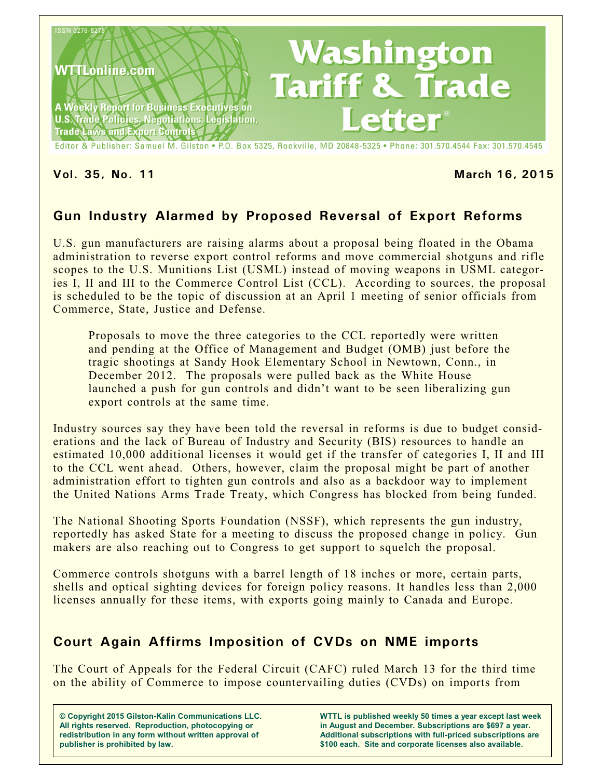

## **Vol. 35, No. 11 March 16, 2015**

# **Gun Industry Alarmed by Proposed Reversal of Export Reforms**

U.S. gun manufacturers are raising alarms about a proposal being floated in the Obama administration to reverse export control reforms and move commercial shotguns and rifle scopes to the U.S. Munitions List (USML) instead of moving weapons in USML categories I, II and III to the Commerce Control List (CCL). According to sources, the proposal is scheduled to be the topic of discussion at an April 1 meeting of senior officials from Commerce, State, Justice and Defense.

Proposals to move the three categories to the CCL reportedly were written and pending at the Office of Management and Budget (OMB) just before the tragic shootings at Sandy Hook Elementary School in Newtown, Conn., in December 2012. The proposals were pulled back as the White House launched a push for gun controls and didn't want to be seen liberalizing gun export controls at the same time.

Industry sources say they have been told the reversal in reforms is due to budget considerations and the lack of Bureau of Industry and Security (BIS) resources to handle an estimated 10,000 additional licenses it would get if the transfer of categories I, II and III to the CCL went ahead. Others, however, claim the proposal might be part of another administration effort to tighten gun controls and also as a backdoor way to implement the United Nations Arms Trade Treaty, which Congress has blocked from being funded.

The National Shooting Sports Foundation (NSSF), which represents the gun industry, reportedly has asked State for a meeting to discuss the proposed change in policy. Gun makers are also reaching out to Congress to get support to squelch the proposal.

Commerce controls shotguns with a barrel length of 18 inches or more, certain parts, shells and optical sighting devices for foreign policy reasons. It handles less than 2,000 licenses annually for these items, with exports going mainly to Canada and Europe.

## **Court Again Affirms Imposition of CVDs on NME imports**

The Court of Appeals for the Federal Circuit (CAFC) ruled March 13 for the third time on the ability of Commerce to impose countervailing duties (CVDs) on imports from

**© Copyright 2015 Gilston-Kalin Communications LLC. All rights reserved. Reproduction, photocopying or redistribution in any form without written approval of publisher is prohibited by law.** 

**WTTL is published weekly 50 times a year except last week in August and December. Subscriptions are \$697 a year. Additional subscriptions with full-priced subscriptions are \$100 each. Site and corporate licenses also available.**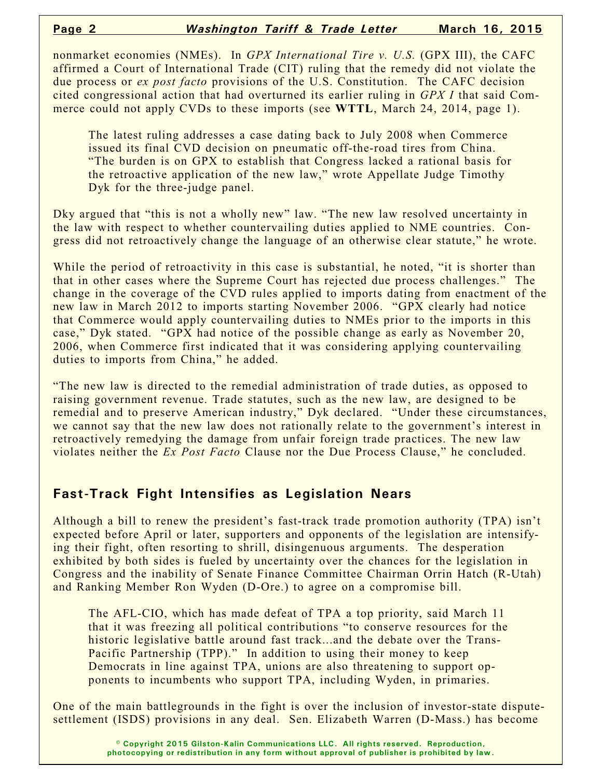nonmarket economies (NMEs). In *GPX International Tire v. U.S.* (GPX III), the CAFC affirmed a Court of International Trade (CIT) ruling that the remedy did not violate the due process or *ex post facto* provisions of the U.S. Constitution. The CAFC decision cited congressional action that had overturned its earlier ruling in *GPX I* that said Commerce could not apply CVDs to these imports (see **WTTL**, March 24, 2014, page 1).

The latest ruling addresses a case dating back to July 2008 when Commerce issued its final CVD decision on pneumatic off-the-road tires from China. "The burden is on GPX to establish that Congress lacked a rational basis for the retroactive application of the new law," wrote Appellate Judge Timothy Dyk for the three-judge panel.

Dky argued that "this is not a wholly new" law. "The new law resolved uncertainty in the law with respect to whether countervailing duties applied to NME countries. Congress did not retroactively change the language of an otherwise clear statute," he wrote.

While the period of retroactivity in this case is substantial, he noted, "it is shorter than that in other cases where the Supreme Court has rejected due process challenges." The change in the coverage of the CVD rules applied to imports dating from enactment of the new law in March 2012 to imports starting November 2006. "GPX clearly had notice that Commerce would apply countervailing duties to NMEs prior to the imports in this case," Dyk stated. "GPX had notice of the possible change as early as November 20, 2006, when Commerce first indicated that it was considering applying countervailing duties to imports from China," he added.

"The new law is directed to the remedial administration of trade duties, as opposed to raising government revenue. Trade statutes, such as the new law, are designed to be remedial and to preserve American industry," Dyk declared. "Under these circumstances, we cannot say that the new law does not rationally relate to the government's interest in retroactively remedying the damage from unfair foreign trade practices. The new law violates neither the *Ex Post Facto* Clause nor the Due Process Clause," he concluded.

## **Fast-Track Fight Intensifies as Legislation Nears**

Although a bill to renew the president's fast-track trade promotion authority (TPA) isn't expected before April or later, supporters and opponents of the legislation are intensifying their fight, often resorting to shrill, disingenuous arguments. The desperation exhibited by both sides is fueled by uncertainty over the chances for the legislation in Congress and the inability of Senate Finance Committee Chairman Orrin Hatch (R-Utah) and Ranking Member Ron Wyden (D-Ore.) to agree on a compromise bill.

The AFL-CIO, which has made defeat of TPA a top priority, said March 11 that it was freezing all political contributions "to conserve resources for the historic legislative battle around fast track...and the debate over the Trans-Pacific Partnership (TPP)." In addition to using their money to keep Democrats in line against TPA, unions are also threatening to support opponents to incumbents who support TPA, including Wyden, in primaries.

One of the main battlegrounds in the fight is over the inclusion of investor-state disputesettlement (ISDS) provisions in any deal. Sen. Elizabeth Warren (D-Mass.) has become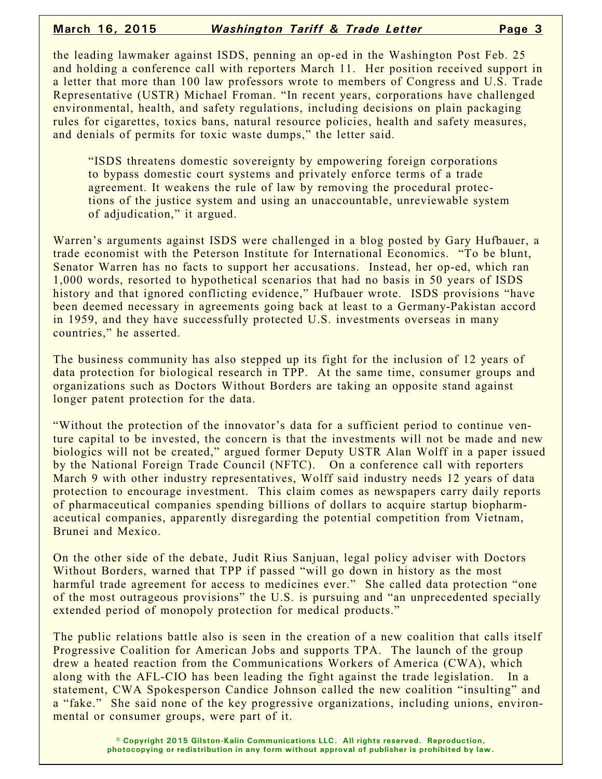the leading lawmaker against ISDS, penning an op-ed in the Washington Post Feb. 25 and holding a conference call with reporters March 11. Her position received support in a letter that more than 100 law professors wrote to members of Congress and U.S. Trade Representative (USTR) Michael Froman. "In recent years, corporations have challenged environmental, health, and safety regulations, including decisions on plain packaging rules for cigarettes, toxics bans, natural resource policies, health and safety measures, and denials of permits for toxic waste dumps," the letter said.

"ISDS threatens domestic sovereignty by empowering foreign corporations to bypass domestic court systems and privately enforce terms of a trade agreement. It weakens the rule of law by removing the procedural protections of the justice system and using an unaccountable, unreviewable system of adjudication," it argued.

Warren's arguments against ISDS were challenged in a blog posted by Gary Hufbauer, a trade economist with the Peterson Institute for International Economics. "To be blunt, Senator Warren has no facts to support her accusations. Instead, her op-ed, which ran 1,000 words, resorted to hypothetical scenarios that had no basis in 50 years of ISDS history and that ignored conflicting evidence," Hufbauer wrote. ISDS provisions "have been deemed necessary in agreements going back at least to a Germany-Pakistan accord in 1959, and they have successfully protected U.S. investments overseas in many countries," he asserted.

The business community has also stepped up its fight for the inclusion of 12 years of data protection for biological research in TPP. At the same time, consumer groups and organizations such as Doctors Without Borders are taking an opposite stand against longer patent protection for the data.

"Without the protection of the innovator's data for a sufficient period to continue venture capital to be invested, the concern is that the investments will not be made and new biologics will not be created," argued former Deputy USTR Alan Wolff in a paper issued by the National Foreign Trade Council (NFTC). On a conference call with reporters March 9 with other industry representatives, Wolff said industry needs 12 years of data protection to encourage investment. This claim comes as newspapers carry daily reports of pharmaceutical companies spending billions of dollars to acquire startup biopharmaceutical companies, apparently disregarding the potential competition from Vietnam, Brunei and Mexico.

On the other side of the debate, Judit Rius Sanjuan, legal policy adviser with Doctors Without Borders, warned that TPP if passed "will go down in history as the most harmful trade agreement for access to medicines ever." She called data protection "one of the most outrageous provisions" the U.S. is pursuing and "an unprecedented specially extended period of monopoly protection for medical products."

The public relations battle also is seen in the creation of a new coalition that calls itself Progressive Coalition for American Jobs and supports TPA. The launch of the group drew a heated reaction from the Communications Workers of America (CWA), which along with the AFL-CIO has been leading the fight against the trade legislation. In a statement, CWA Spokesperson Candice Johnson called the new coalition "insulting" and a "fake." She said none of the key progressive organizations, including unions, environmental or consumer groups, were part of it.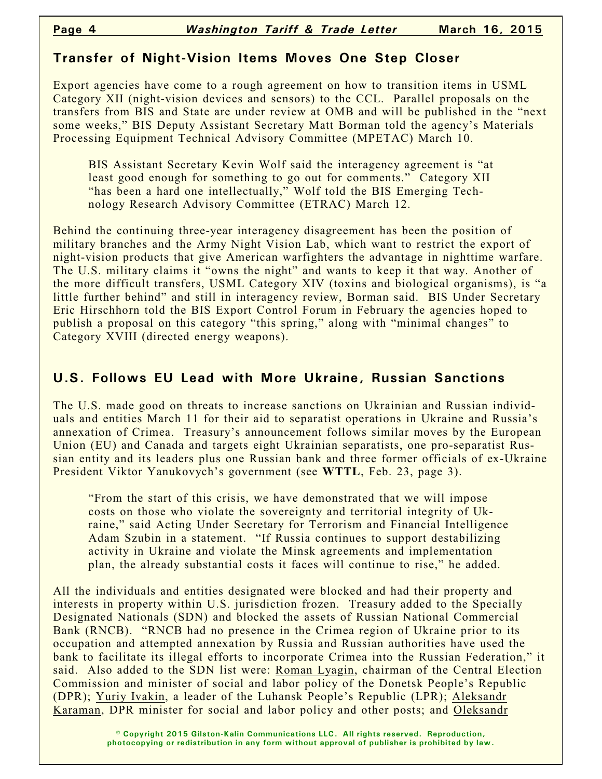## **Transfer of Night-Vision Items Moves One Step Closer**

Export agencies have come to a rough agreement on how to transition items in USML Category XII (night-vision devices and sensors) to the CCL. Parallel proposals on the transfers from BIS and State are under review at OMB and will be published in the "next some weeks," BIS Deputy Assistant Secretary Matt Borman told the agency's Materials Processing Equipment Technical Advisory Committee (MPETAC) March 10.

BIS Assistant Secretary Kevin Wolf said the interagency agreement is "at least good enough for something to go out for comments." Category XII "has been a hard one intellectually," Wolf told the BIS Emerging Technology Research Advisory Committee (ETRAC) March 12.

Behind the continuing three-year interagency disagreement has been the position of military branches and the Army Night Vision Lab, which want to restrict the export of night-vision products that give American warfighters the advantage in nighttime warfare. The U.S. military claims it "owns the night" and wants to keep it that way. Another of the more difficult transfers, USML Category XIV (toxins and biological organisms), is "a little further behind" and still in interagency review, Borman said. BIS Under Secretary Eric Hirschhorn told the BIS Export Control Forum in February the agencies hoped to publish a proposal on this category "this spring," along with "minimal changes" to Category XVIII (directed energy weapons).

## **U.S. Follows EU Lead with More Ukraine, Russian Sanctions**

The U.S. made good on threats to increase sanctions on Ukrainian and Russian individuals and entities March 11 for their aid to separatist operations in Ukraine and Russia's annexation of Crimea. Treasury's announcement follows similar moves by the European Union (EU) and Canada and targets eight Ukrainian separatists, one pro-separatist Russian entity and its leaders plus one Russian bank and three former officials of ex-Ukraine President Viktor Yanukovych's government (see **WTTL**, Feb. 23, page 3).

"From the start of this crisis, we have demonstrated that we will impose costs on those who violate the sovereignty and territorial integrity of Ukraine," said Acting Under Secretary for Terrorism and Financial Intelligence Adam Szubin in a statement. "If Russia continues to support destabilizing activity in Ukraine and violate the Minsk agreements and implementation plan, the already substantial costs it faces will continue to rise," he added.

All the individuals and entities designated were blocked and had their property and interests in property within U.S. jurisdiction frozen. Treasury added to the Specially Designated Nationals (SDN) and blocked the assets of Russian National Commercial Bank (RNCB). "RNCB had no presence in the Crimea region of Ukraine prior to its occupation and attempted annexation by Russia and Russian authorities have used the bank to facilitate its illegal efforts to incorporate Crimea into the Russian Federation," it said. Also added to the SDN list were: Roman Lyagin, chairman of the Central Election Commission and minister of social and labor policy of the Donetsk People's Republic (DPR); Yuriy Ivakin, a leader of the Luhansk People's Republic (LPR); Aleksandr Karaman, DPR minister for social and labor policy and other posts; and Oleksandr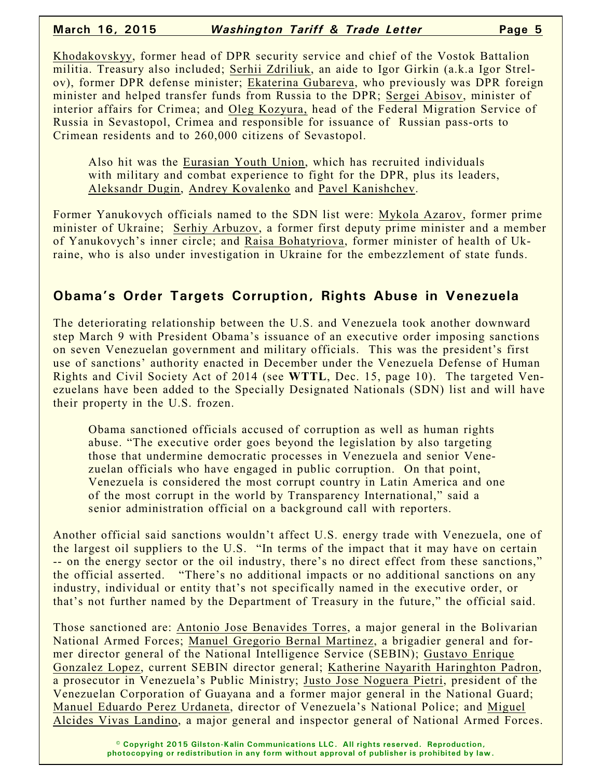Khodakovskyy, former head of DPR security service and chief of the Vostok Battalion militia. Treasury also included; Serhii Zdriliuk, an aide to Igor Girkin (a.k.a Igor Strelov), former DPR defense minister; Ekaterina Gubareva, who previously was DPR foreign minister and helped transfer funds from Russia to the DPR; Sergei Abisov, minister of interior affairs for Crimea; and Oleg Kozyura, head of the Federal Migration Service of Russia in Sevastopol, Crimea and responsible for issuance of Russian pass-orts to Crimean residents and to 260,000 citizens of Sevastopol.

Also hit was the Eurasian Youth Union, which has recruited individuals with military and combat experience to fight for the DPR, plus its leaders, Aleksandr Dugin, Andrey Kovalenko and Pavel Kanishchev.

Former Yanukovych officials named to the SDN list were: Mykola Azarov, former prime minister of Ukraine; Serhiy Arbuzov, a former first deputy prime minister and a member of Yanukovych's inner circle; and Raisa Bohatyriova, former minister of health of Ukraine, who is also under investigation in Ukraine for the embezzlement of state funds.

## **Obama's Order Targets Corruption, Rights Abuse in Venezuela**

The deteriorating relationship between the U.S. and Venezuela took another downward step March 9 with President Obama's issuance of an executive order imposing sanctions on seven Venezuelan government and military officials. This was the president's first use of sanctions' authority enacted in December under the Venezuela Defense of Human Rights and Civil Society Act of 2014 (see **WTTL**, Dec. 15, page 10). The targeted Venezuelans have been added to the Specially Designated Nationals (SDN) list and will have their property in the U.S. frozen.

Obama sanctioned officials accused of corruption as well as human rights abuse. "The executive order goes beyond the legislation by also targeting those that undermine democratic processes in Venezuela and senior Venezuelan officials who have engaged in public corruption. On that point, Venezuela is considered the most corrupt country in Latin America and one of the most corrupt in the world by Transparency International," said a senior administration official on a background call with reporters.

Another official said sanctions wouldn't affect U.S. energy trade with Venezuela, one of the largest oil suppliers to the U.S. "In terms of the impact that it may have on certain -- on the energy sector or the oil industry, there's no direct effect from these sanctions," the official asserted. "There's no additional impacts or no additional sanctions on any industry, individual or entity that's not specifically named in the executive order, or that's not further named by the Department of Treasury in the future," the official said.

Those sanctioned are: Antonio Jose Benavides Torres, a major general in the Bolivarian National Armed Forces; Manuel Gregorio Bernal Martinez, a brigadier general and former director general of the National Intelligence Service (SEBIN); Gustavo Enrique Gonzalez Lopez, current SEBIN director general; Katherine Nayarith Haringhton Padron, a prosecutor in Venezuela's Public Ministry; Justo Jose Noguera Pietri, president of the Venezuelan Corporation of Guayana and a former major general in the National Guard; Manuel Eduardo Perez Urdaneta, director of Venezuela's National Police; and Miguel Alcides Vivas Landino, a major general and inspector general of National Armed Forces.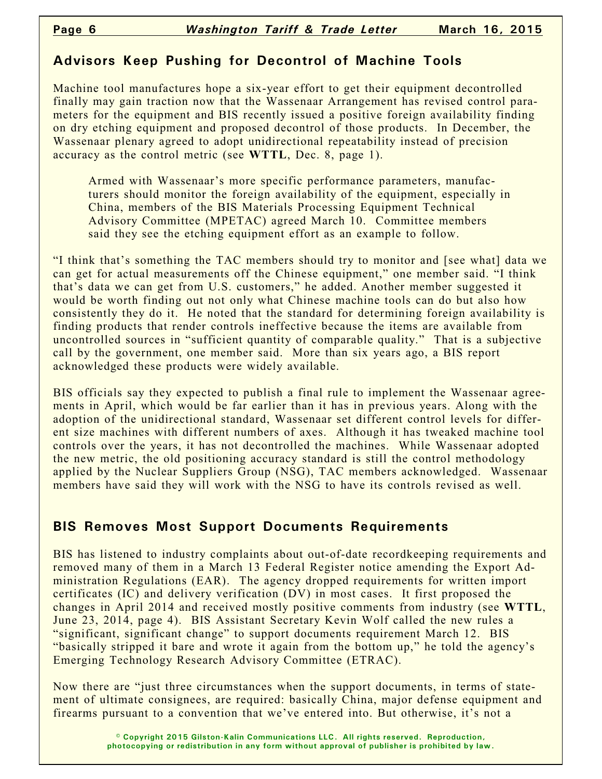## **Advisors Keep Pushing for Decontrol of Machine Tools**

Machine tool manufactures hope a six-year effort to get their equipment decontrolled finally may gain traction now that the Wassenaar Arrangement has revised control parameters for the equipment and BIS recently issued a positive foreign availability finding on dry etching equipment and proposed decontrol of those products. In December, the Wassenaar plenary agreed to adopt unidirectional repeatability instead of precision accuracy as the control metric (see **WTTL**, Dec. 8, page 1).

Armed with Wassenaar's more specific performance parameters, manufacturers should monitor the foreign availability of the equipment, especially in China, members of the BIS Materials Processing Equipment Technical Advisory Committee (MPETAC) agreed March 10. Committee members said they see the etching equipment effort as an example to follow.

"I think that's something the TAC members should try to monitor and [see what] data we can get for actual measurements off the Chinese equipment," one member said. "I think that's data we can get from U.S. customers," he added. Another member suggested it would be worth finding out not only what Chinese machine tools can do but also how consistently they do it. He noted that the standard for determining foreign availability is finding products that render controls ineffective because the items are available from uncontrolled sources in "sufficient quantity of comparable quality." That is a subjective call by the government, one member said. More than six years ago, a BIS report acknowledged these products were widely available.

BIS officials say they expected to publish a final rule to implement the Wassenaar agreements in April, which would be far earlier than it has in previous years. Along with the adoption of the unidirectional standard, Wassenaar set different control levels for different size machines with different numbers of axes. Although it has tweaked machine tool controls over the years, it has not decontrolled the machines. While Wassenaar adopted the new metric, the old positioning accuracy standard is still the control methodology applied by the Nuclear Suppliers Group (NSG), TAC members acknowledged. Wassenaar members have said they will work with the NSG to have its controls revised as well.

## **BIS Removes Most Support Documents Requirements**

BIS has listened to industry complaints about out-of-date recordkeeping requirements and removed many of them in a March 13 Federal Register notice amending the Export Administration Regulations (EAR). The agency dropped requirements for written import certificates (IC) and delivery verification (DV) in most cases. It first proposed the changes in April 2014 and received mostly positive comments from industry (see **WTTL**, June 23, 2014, page 4). BIS Assistant Secretary Kevin Wolf called the new rules a "significant, significant change" to support documents requirement March 12. BIS "basically stripped it bare and wrote it again from the bottom up," he told the agency's Emerging Technology Research Advisory Committee (ETRAC).

Now there are "just three circumstances when the support documents, in terms of statement of ultimate consignees, are required: basically China, major defense equipment and firearms pursuant to a convention that we've entered into. But otherwise, it's not a

> **© Copyright 2015 Gilston-Kalin Communications LLC. All rights reserved. Reproduction, photocopying or redistribution in any form without approval of publisher is prohibited by law.**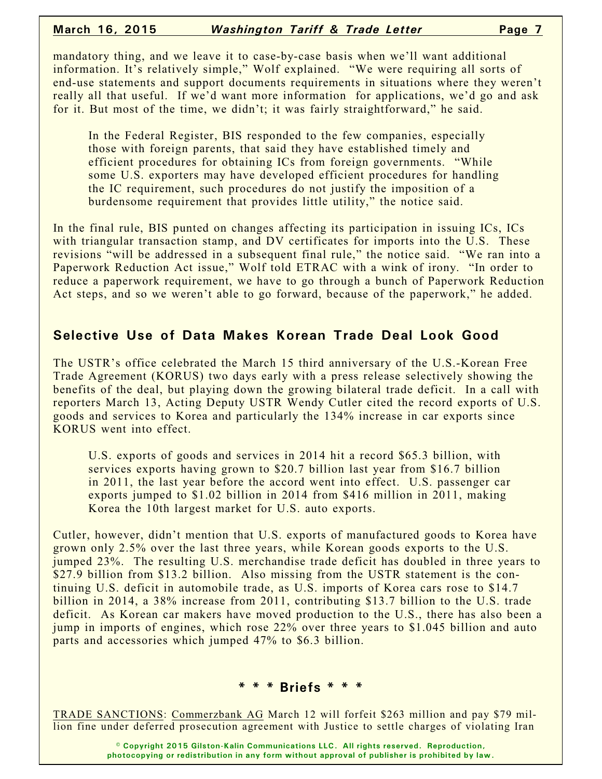mandatory thing, and we leave it to case-by-case basis when we'll want additional information. It's relatively simple," Wolf explained. "We were requiring all sorts of end-use statements and support documents requirements in situations where they weren't really all that useful. If we'd want more information for applications, we'd go and ask for it. But most of the time, we didn't; it was fairly straightforward," he said.

In the Federal Register, BIS responded to the few companies, especially those with foreign parents, that said they have established timely and efficient procedures for obtaining ICs from foreign governments. "While some U.S. exporters may have developed efficient procedures for handling the IC requirement, such procedures do not justify the imposition of a burdensome requirement that provides little utility," the notice said.

In the final rule, BIS punted on changes affecting its participation in issuing ICs, ICs with triangular transaction stamp, and DV certificates for imports into the U.S. These revisions "will be addressed in a subsequent final rule," the notice said. "We ran into a Paperwork Reduction Act issue," Wolf told ETRAC with a wink of irony. "In order to reduce a paperwork requirement, we have to go through a bunch of Paperwork Reduction Act steps, and so we weren't able to go forward, because of the paperwork," he added.

## **Selective Use of Data Makes Korean Trade Deal Look Good**

The USTR's office celebrated the March 15 third anniversary of the U.S.-Korean Free Trade Agreement (KORUS) two days early with a press release selectively showing the benefits of the deal, but playing down the growing bilateral trade deficit. In a call with reporters March 13, Acting Deputy USTR Wendy Cutler cited the record exports of U.S. goods and services to Korea and particularly the 134% increase in car exports since KORUS went into effect.

U.S. exports of goods and services in 2014 hit a record \$65.3 billion, with services exports having grown to \$20.7 billion last year from \$16.7 billion in 2011, the last year before the accord went into effect. U.S. passenger car exports jumped to \$1.02 billion in 2014 from \$416 million in 2011, making Korea the 10th largest market for U.S. auto exports.

Cutler, however, didn't mention that U.S. exports of manufactured goods to Korea have grown only 2.5% over the last three years, while Korean goods exports to the U.S. jumped 23%. The resulting U.S. merchandise trade deficit has doubled in three years to \$27.9 billion from \$13.2 billion. Also missing from the USTR statement is the continuing U.S. deficit in automobile trade, as U.S. imports of Korea cars rose to \$14.7 billion in 2014, a 38% increase from 2011, contributing \$13.7 billion to the U.S. trade deficit. As Korean car makers have moved production to the U.S., there has also been a jump in imports of engines, which rose 22% over three years to \$1.045 billion and auto parts and accessories which jumped 47% to \$6.3 billion.

#### **\* \* \* Briefs \* \* \***

TRADE SANCTIONS: Commerzbank AG March 12 will forfeit \$263 million and pay \$79 million fine under deferred prosecution agreement with Justice to settle charges of violating Iran